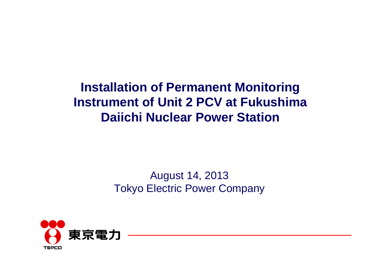# **Installation of Permanent Monitoring Instrument of Unit 2 PCV at Fukushima Daiichi Nuclear Power Station**

## August 14, 2013 Tokyo Electric Power Company

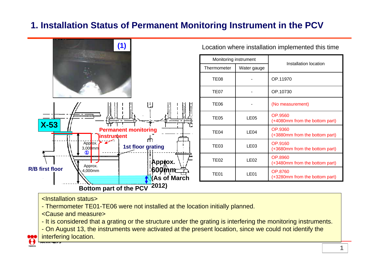### **1. Installation Status of Permanent Monitoring Instrument in the PCV**